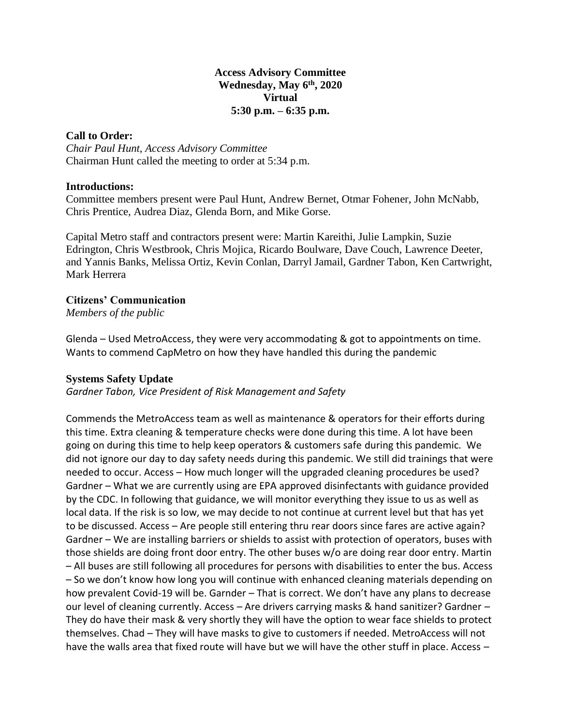#### **Access Advisory Committee Wednesday, May 6 th, 2020 Virtual 5:30 p.m. – 6:35 p.m.**

## **Call to Order:**

*Chair Paul Hunt, Access Advisory Committee* Chairman Hunt called the meeting to order at 5:34 p.m.

### **Introductions:**

Committee members present were Paul Hunt, Andrew Bernet, Otmar Fohener, John McNabb, Chris Prentice, Audrea Diaz, Glenda Born, and Mike Gorse.

Capital Metro staff and contractors present were: Martin Kareithi, Julie Lampkin, Suzie Edrington, Chris Westbrook, Chris Mojica, Ricardo Boulware, Dave Couch, Lawrence Deeter, and Yannis Banks, Melissa Ortiz, Kevin Conlan, Darryl Jamail, Gardner Tabon, Ken Cartwright, Mark Herrera

# **Citizens' Communication**

*Members of the public*

Glenda – Used MetroAccess, they were very accommodating & got to appointments on time. Wants to commend CapMetro on how they have handled this during the pandemic

# **Systems Safety Update**

*Gardner Tabon, Vice President of Risk Management and Safety*

Commends the MetroAccess team as well as maintenance & operators for their efforts during this time. Extra cleaning & temperature checks were done during this time. A lot have been going on during this time to help keep operators & customers safe during this pandemic. We did not ignore our day to day safety needs during this pandemic. We still did trainings that were needed to occur. Access – How much longer will the upgraded cleaning procedures be used? Gardner – What we are currently using are EPA approved disinfectants with guidance provided by the CDC. In following that guidance, we will monitor everything they issue to us as well as local data. If the risk is so low, we may decide to not continue at current level but that has yet to be discussed. Access – Are people still entering thru rear doors since fares are active again? Gardner – We are installing barriers or shields to assist with protection of operators, buses with those shields are doing front door entry. The other buses w/o are doing rear door entry. Martin – All buses are still following all procedures for persons with disabilities to enter the bus. Access – So we don't know how long you will continue with enhanced cleaning materials depending on how prevalent Covid-19 will be. Garnder – That is correct. We don't have any plans to decrease our level of cleaning currently. Access – Are drivers carrying masks & hand sanitizer? Gardner – They do have their mask & very shortly they will have the option to wear face shields to protect themselves. Chad – They will have masks to give to customers if needed. MetroAccess will not have the walls area that fixed route will have but we will have the other stuff in place. Access -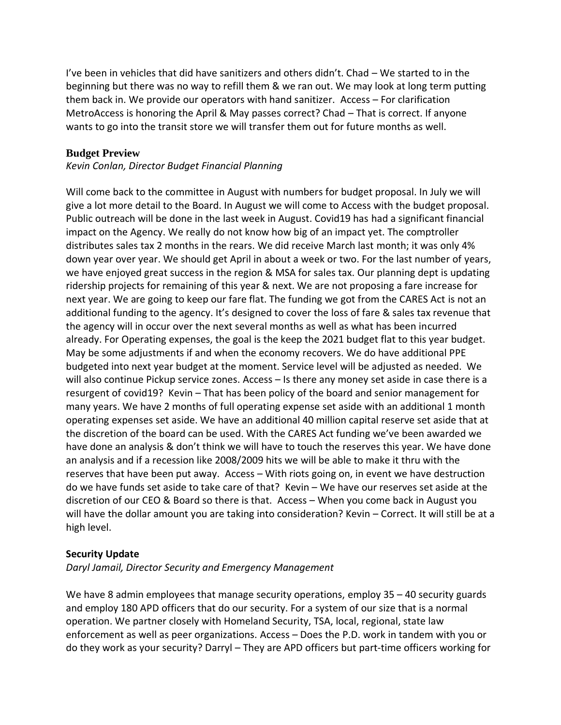I've been in vehicles that did have sanitizers and others didn't. Chad – We started to in the beginning but there was no way to refill them & we ran out. We may look at long term putting them back in. We provide our operators with hand sanitizer. Access – For clarification MetroAccess is honoring the April & May passes correct? Chad – That is correct. If anyone wants to go into the transit store we will transfer them out for future months as well.

### **Budget Preview**

#### *Kevin Conlan, Director Budget Financial Planning*

Will come back to the committee in August with numbers for budget proposal. In July we will give a lot more detail to the Board. In August we will come to Access with the budget proposal. Public outreach will be done in the last week in August. Covid19 has had a significant financial impact on the Agency. We really do not know how big of an impact yet. The comptroller distributes sales tax 2 months in the rears. We did receive March last month; it was only 4% down year over year. We should get April in about a week or two. For the last number of years, we have enjoyed great success in the region & MSA for sales tax. Our planning dept is updating ridership projects for remaining of this year & next. We are not proposing a fare increase for next year. We are going to keep our fare flat. The funding we got from the CARES Act is not an additional funding to the agency. It's designed to cover the loss of fare & sales tax revenue that the agency will in occur over the next several months as well as what has been incurred already. For Operating expenses, the goal is the keep the 2021 budget flat to this year budget. May be some adjustments if and when the economy recovers. We do have additional PPE budgeted into next year budget at the moment. Service level will be adjusted as needed. We will also continue Pickup service zones. Access – Is there any money set aside in case there is a resurgent of covid19? Kevin – That has been policy of the board and senior management for many years. We have 2 months of full operating expense set aside with an additional 1 month operating expenses set aside. We have an additional 40 million capital reserve set aside that at the discretion of the board can be used. With the CARES Act funding we've been awarded we have done an analysis & don't think we will have to touch the reserves this year. We have done an analysis and if a recession like 2008/2009 hits we will be able to make it thru with the reserves that have been put away. Access – With riots going on, in event we have destruction do we have funds set aside to take care of that? Kevin – We have our reserves set aside at the discretion of our CEO & Board so there is that. Access – When you come back in August you will have the dollar amount you are taking into consideration? Kevin – Correct. It will still be at a high level.

#### **Security Update**

*Daryl Jamail, Director Security and Emergency Management*

We have 8 admin employees that manage security operations, employ 35 – 40 security guards and employ 180 APD officers that do our security. For a system of our size that is a normal operation. We partner closely with Homeland Security, TSA, local, regional, state law enforcement as well as peer organizations. Access – Does the P.D. work in tandem with you or do they work as your security? Darryl – They are APD officers but part-time officers working for